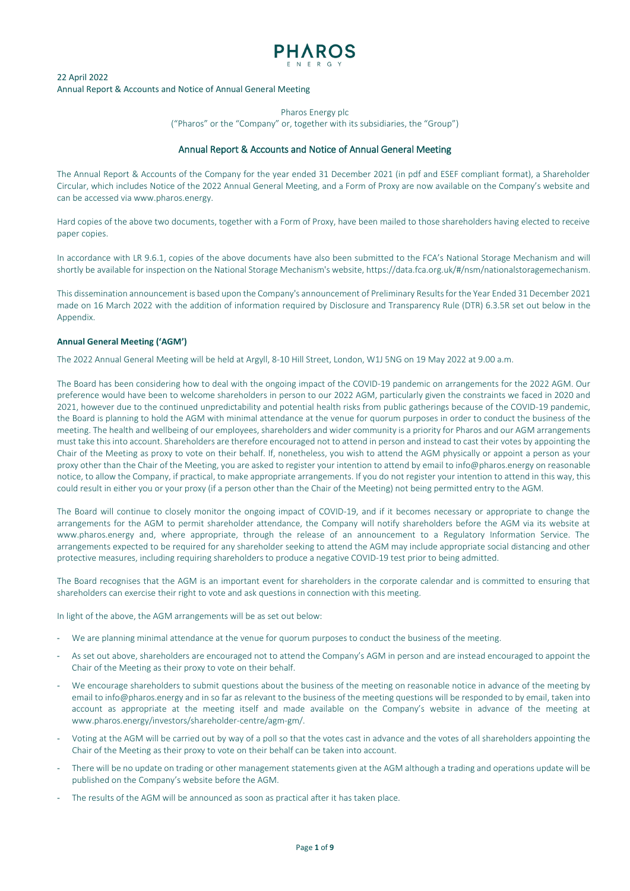

Pharos Energy plc

("Pharos" or the "Company" or, together with its subsidiaries, the "Group")

## Annual Report & Accounts and Notice of Annual General Meeting

The Annual Report & Accounts of the Company for the year ended 31 December 2021 (in pdf and ESEF compliant format), a Shareholder Circular, which includes Notice of the 2022 Annual General Meeting, and a Form of Proxy are now available on the Company's website and can be accessed vi[a www.pharos.energy.](http://www.pharos.energy/) 

Hard copies of the above two documents, together with a Form of Proxy, have been mailed to those shareholders having elected to receive paper copies.

In accordance with LR 9.6.1, copies of the above documents have also been submitted to the FCA's National Storage Mechanism and will shortly be available for inspection on the National Storage Mechanism's website[, https://data.fca.org.uk/#/nsm/nationalstoragemechanism.](https://data.fca.org.uk/#/nsm/nationalstoragemechanism)

This dissemination announcement is based upon the Company's announcement of Preliminary Results for the Year Ended 31 December 2021 made on 16 March 2022 with the addition of information required by Disclosure and Transparency Rule (DTR) 6.3.5R set out below in the Appendix.

## **Annual General Meeting ('AGM')**

The 2022 Annual General Meeting will be held at Argyll, 8-10 Hill Street, London, W1J 5NG on 19 May 2022 at 9.00 a.m.

The Board has been considering how to deal with the ongoing impact of the COVID-19 pandemic on arrangements for the 2022 AGM. Our preference would have been to welcome shareholders in person to our 2022 AGM, particularly given the constraints we faced in 2020 and 2021, however due to the continued unpredictability and potential health risks from public gatherings because of the COVID-19 pandemic, the Board is planning to hold the AGM with minimal attendance at the venue for quorum purposes in order to conduct the business of the meeting. The health and wellbeing of our employees, shareholders and wider community is a priority for Pharos and our AGM arrangements must take this into account. Shareholders are therefore encouraged not to attend in person and instead to cast their votes by appointing the Chair of the Meeting as proxy to vote on their behalf. If, nonetheless, you wish to attend the AGM physically or appoint a person as your proxy other than the Chair of the Meeting, you are asked to register your intention to attend by email to info@pharos.energy on reasonable notice, to allow the Company, if practical, to make appropriate arrangements. If you do not register your intention to attend in this way, this could result in either you or your proxy (if a person other than the Chair of the Meeting) not being permitted entry to the AGM.

The Board will continue to closely monitor the ongoing impact of COVID-19, and if it becomes necessary or appropriate to change the arrangements for the AGM to permit shareholder attendance, the Company will notify shareholders before the AGM via its website [at](http://www.pharos.energy/)  [www.pharos.energy](http://www.pharos.energy/) and, where appropriate, through the release of an announcement to a Regulatory Information Service. The arrangements expected to be required for any shareholder seeking to attend the AGM may include appropriate social distancing and other protective measures, including requiring shareholders to produce a negative COVID-19 test prior to being admitted.

The Board recognises that the AGM is an important event for shareholders in the corporate calendar and is committed to ensuring that shareholders can exercise their right to vote and ask questions in connection with this meeting.

In light of the above, the AGM arrangements will be as set out below:

- We are planning minimal attendance at the venue for quorum purposes to conduct the business of the meeting.
- As set out above, shareholders are encouraged not to attend the Company's AGM in person and are instead encouraged to appoint the Chair of the Meeting as their proxy to vote on their behalf.
- We encourage shareholders to submit questions about the business of the meeting on reasonable notice in advance of the meeting by email to info@pharos.energy and in so far as relevant to the business of the meeting questions will be responded to by email, taken into account as appropriate at the meeting itself and made available on the Company's website in advance of the meeting at www.pharos.energy/investors/shareholder-centre/agm-gm/.
- Voting at the AGM will be carried out by way of a poll so that the votes cast in advance and the votes of all shareholders appointing the Chair of the Meeting as their proxy to vote on their behalf can be taken into account.
- There will be no update on trading or other management statements given at the AGM although a trading and operations update will be published on the Company's website before the AGM.
- The results of the AGM will be announced as soon as practical after it has taken place.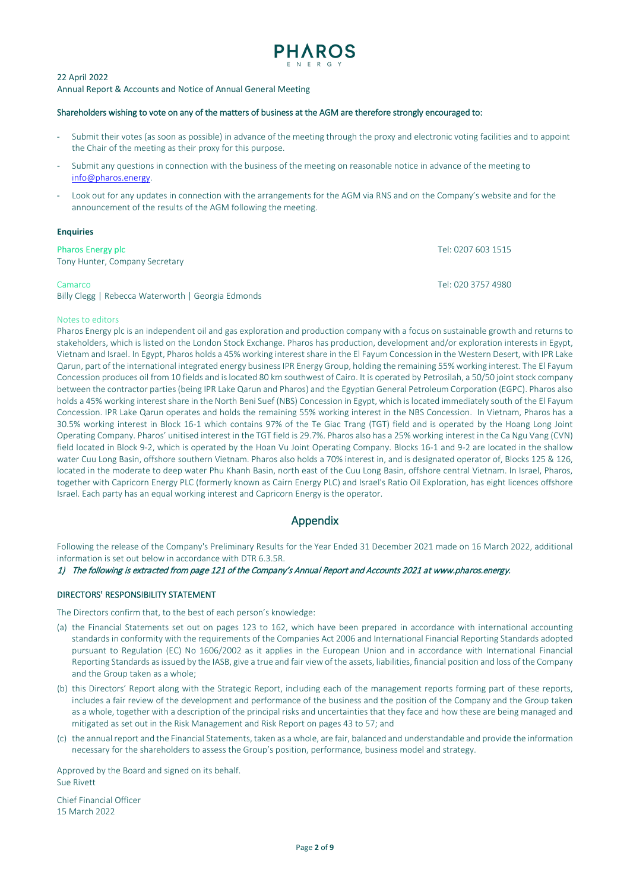

#### Shareholders wishing to vote on any of the matters of business at the AGM are therefore strongly encouraged to:

- Submit their votes (as soon as possible) in advance of the meeting through the proxy and electronic voting facilities and to appoint the Chair of the meeting as their proxy for this purpose.
- Submit any questions in connection with the business of the meeting on reasonable notice in advance of the meeting to [info@pharos.energy.](mailto:info@pharos.energy)
- Look out for any updates in connection with the arrangements for the AGM via RNS and on the Company's website and for the announcement of the results of the AGM following the meeting.

#### **Enquiries**

| <b>Pharos Energy plc</b><br>Tony Hunter, Company Secretary    | Tel: 0207 603 1515 |
|---------------------------------------------------------------|--------------------|
| Camarco<br>Billy Clegg   Rebecca Waterworth   Georgia Edmonds | Tel: 020 3757 4980 |

# Notes to editors

Pharos Energy plc is an independent oil and gas exploration and production company with a focus on sustainable growth and returns to stakeholders, which is listed on the London Stock Exchange. Pharos has production, development and/or exploration interests in Egypt, Vietnam and Israel. In Egypt, Pharos holds a 45% working interest share in the El Fayum Concession in the Western Desert, with IPR Lake Qarun, part of the international integrated energy business IPR Energy Group, holding the remaining 55% working interest. The El Fayum Concession produces oil from 10 fields and is located 80 km southwest of Cairo. It is operated by Petrosilah, a 50/50 joint stock company between the contractor parties (being IPR Lake Qarun and Pharos) and the Egyptian General Petroleum Corporation (EGPC). Pharos also holds a 45% working interest share in the North Beni Suef (NBS) Concession in Egypt, which is located immediately south of the El Fayum Concession. IPR Lake Qarun operates and holds the remaining 55% working interest in the NBS Concession. In Vietnam, Pharos has a 30.5% working interest in Block 16-1 which contains 97% of the Te Giac Trang (TGT) field and is operated by the Hoang Long Joint Operating Company. Pharos' unitised interest in the TGT field is 29.7%. Pharos also has a 25% working interest in the Ca Ngu Vang (CVN) field located in Block 9-2, which is operated by the Hoan Vu Joint Operating Company. Blocks 16-1 and 9-2 are located in the shallow water Cuu Long Basin, offshore southern Vietnam. Pharos also holds a 70% interest in, and is designated operator of, Blocks 125 & 126, located in the moderate to deep water Phu Khanh Basin, north east of the Cuu Long Basin, offshore central Vietnam. In Israel, Pharos, together with Capricorn Energy PLC (formerly known as Cairn Energy PLC) and Israel's Ratio Oil Exploration, has eight licences offshore Israel. Each party has an equal working interest and Capricorn Energy is the operator.

# Appendix

Following the release of the Company's Preliminary Results for the Year Ended 31 December 2021 made on 16 March 2022, additional information is set out below in accordance with DTR 6.3.5R.

1) The following is extracted from page 121 of the Company's Annual Report and Accounts 2021 at www.pharos.energy.

## DIRECTORS' RESPONSIBILITY STATEMENT

The Directors confirm that, to the best of each person's knowledge:

- (a) the Financial Statements set out on pages 123 to 162, which have been prepared in accordance with international accounting standards in conformity with the requirements of the Companies Act 2006 and International Financial Reporting Standards adopted pursuant to Regulation (EC) No 1606/2002 as it applies in the European Union and in accordance with International Financial Reporting Standards as issued by the IASB, give a true and fair view of the assets, liabilities, financial position and loss of the Company and the Group taken as a whole;
- (b) this Directors' Report along with the Strategic Report, including each of the management reports forming part of these reports, includes a fair review of the development and performance of the business and the position of the Company and the Group taken as a whole, together with a description of the principal risks and uncertainties that they face and how these are being managed and mitigated as set out in the Risk Management and Risk Report on pages 43 to 57; and
- (c) the annual report and the Financial Statements, taken as a whole, are fair, balanced and understandable and provide the information necessary for the shareholders to assess the Group's position, performance, business model and strategy.

Approved by the Board and signed on its behalf. Sue Rivett

Chief Financial Officer 15 March 2022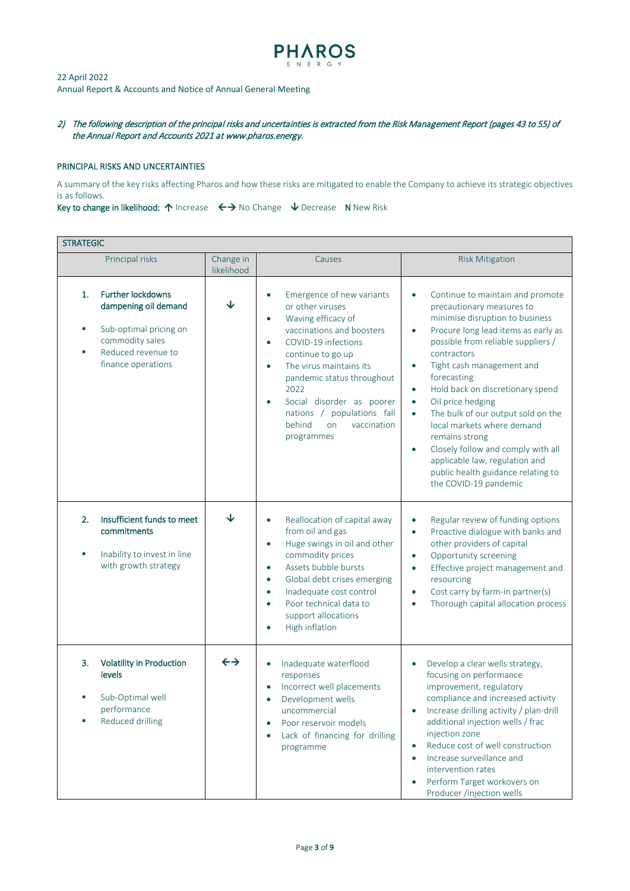

2) The following description of the principal risks and uncertainties is extracted from the Risk Management Report (pages 43 to 55) of the Annual Report and Accounts 2021 a[t www.pharos.energy.](http://www.pharos.energy/)

### PRINCIPAL RISKS AND UNCERTAINTIES

A summary of the key risks affecting Pharos and how these risks are mitigated to enable the Company to achieve its strategic objectives is as follows.

Key to change in likelihood:  $\uparrow$  Increase  $\leftrightarrow$  No Change  $\downarrow$  Decrease N New Risk

|         | <b>STRATEGIC</b>                                                                                                                          |                         |                                                                                                                                                                                                                                                                                                                                                                                        |                                                                                                                                                                                                                                                                                                                                                                                                                                                                                                                                                                                                                           |  |
|---------|-------------------------------------------------------------------------------------------------------------------------------------------|-------------------------|----------------------------------------------------------------------------------------------------------------------------------------------------------------------------------------------------------------------------------------------------------------------------------------------------------------------------------------------------------------------------------------|---------------------------------------------------------------------------------------------------------------------------------------------------------------------------------------------------------------------------------------------------------------------------------------------------------------------------------------------------------------------------------------------------------------------------------------------------------------------------------------------------------------------------------------------------------------------------------------------------------------------------|--|
|         | Principal risks                                                                                                                           | Change in<br>likelihood | Causes                                                                                                                                                                                                                                                                                                                                                                                 | <b>Risk Mitigation</b>                                                                                                                                                                                                                                                                                                                                                                                                                                                                                                                                                                                                    |  |
| 1.<br>× | <b>Further lockdowns</b><br>dampening oil demand<br>Sub-optimal pricing on<br>commodity sales<br>Reduced revenue to<br>finance operations | ↓                       | Emergence of new variants<br>$\bullet$<br>or other viruses<br>Waving efficacy of<br>$\bullet$<br>vaccinations and boosters<br>COVID-19 infections<br>$\bullet$<br>continue to go up<br>The virus maintains its<br>$\bullet$<br>pandemic status throughout<br>2022<br>Social disorder as poorer<br>$\bullet$<br>nations / populations fall<br>behind<br>on<br>vaccination<br>programmes | Continue to maintain and promote<br>$\bullet$<br>precautionary measures to<br>minimise disruption to business<br>Procure long lead items as early as<br>$\bullet$<br>possible from reliable suppliers /<br>contractors<br>Tight cash management and<br>$\bullet$<br>forecasting<br>Hold back on discretionary spend<br>$\bullet$<br>Oil price hedging<br>$\bullet$<br>The bulk of our output sold on the<br>$\bullet$<br>local markets where demand<br>remains strong<br>Closely follow and comply with all<br>$\bullet$<br>applicable law, regulation and<br>public health guidance relating to<br>the COVID-19 pandemic |  |
| 2.<br>× | Insufficient funds to meet<br>commitments<br>Inability to invest in line<br>with growth strategy                                          | ↓                       | Reallocation of capital away<br>$\bullet$<br>from oil and gas<br>Huge swings in oil and other<br>$\bullet$<br>commodity prices<br>Assets bubble bursts<br>$\bullet$<br>Global debt crises emerging<br>$\bullet$<br>Inadequate cost control<br>$\bullet$<br>Poor technical data to<br>$\bullet$<br>support allocations<br>High inflation<br>$\bullet$                                   | Regular review of funding options<br>$\bullet$<br>Proactive dialogue with banks and<br>$\bullet$<br>other providers of capital<br>Opportunity screening<br>$\bullet$<br>Effective project management and<br>$\bullet$<br>resourcing<br>Cost carry by farm-in partner(s)<br>$\bullet$<br>Thorough capital allocation process<br>$\bullet$                                                                                                                                                                                                                                                                                  |  |
| 3.      | <b>Volatility in Production</b><br>levels<br>Sub-Optimal well<br>performance<br>Reduced drilling                                          | $\leftrightarrow$       | Inadequate waterflood<br>$\bullet$<br>responses<br>Incorrect well placements<br>$\bullet$<br>Development wells<br>$\bullet$<br>uncommercial<br>Poor reservoir models<br>$\bullet$<br>Lack of financing for drilling<br>$\bullet$<br>programme                                                                                                                                          | Develop a clear wells strategy,<br>focusing on performance<br>improvement, regulatory<br>compliance and increased activity<br>Increase drilling activity / plan-drill<br>$\bullet$<br>additional injection wells / frac<br>injection zone<br>Reduce cost of well construction<br>Increase surveillance and<br>$\bullet$<br>intervention rates<br>Perform Target workovers on<br>Producer /injection wells                                                                                                                                                                                                                 |  |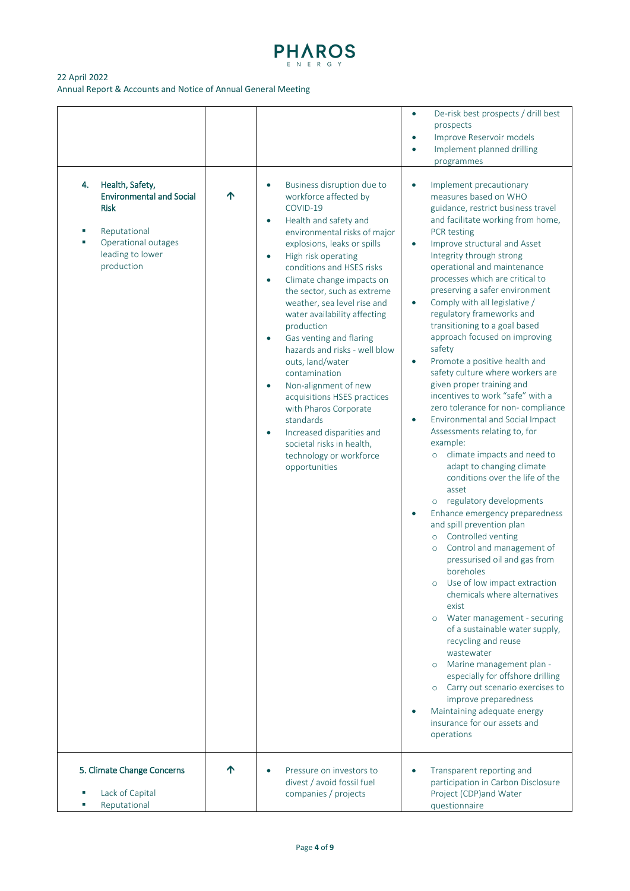

# 22 April 2022

Annual Report & Accounts and Notice of Annual General Meeting

| 4.<br>Health, Safety,<br><b>Environmental and Social</b><br><b>Risk</b><br>Reputational<br>×<br>Operational outages<br>×<br>leading to lower<br>production | ↑ | Business disruption due to<br>$\bullet$<br>workforce affected by<br>COVID-19<br>Health and safety and<br>$\bullet$<br>environmental risks of major<br>explosions, leaks or spills<br>High risk operating<br>$\bullet$<br>conditions and HSES risks<br>Climate change impacts on<br>$\bullet$<br>the sector, such as extreme<br>weather, sea level rise and<br>water availability affecting<br>production<br>Gas venting and flaring<br>$\bullet$<br>hazards and risks - well blow<br>outs, land/water<br>contamination<br>Non-alignment of new<br>acquisitions HSES practices<br>with Pharos Corporate<br>standards<br>Increased disparities and<br>$\bullet$<br>societal risks in health, | De-risk best prospects / drill best<br>$\bullet$<br>prospects<br>Improve Reservoir models<br>Implement planned drilling<br>$\bullet$<br>programmes<br>Implement precautionary<br>$\bullet$<br>measures based on WHO<br>guidance, restrict business travel<br>and facilitate working from home,<br>PCR testing<br>Improve structural and Asset<br>$\bullet$<br>Integrity through strong<br>operational and maintenance<br>processes which are critical to<br>preserving a safer environment<br>Comply with all legislative /<br>$\bullet$<br>regulatory frameworks and<br>transitioning to a goal based<br>approach focused on improving<br>safety<br>Promote a positive health and<br>$\bullet$<br>safety culture where workers are<br>given proper training and<br>incentives to work "safe" with a<br>zero tolerance for non- compliance<br>Environmental and Social Impact<br>$\bullet$<br>Assessments relating to, for<br>example: |
|------------------------------------------------------------------------------------------------------------------------------------------------------------|---|--------------------------------------------------------------------------------------------------------------------------------------------------------------------------------------------------------------------------------------------------------------------------------------------------------------------------------------------------------------------------------------------------------------------------------------------------------------------------------------------------------------------------------------------------------------------------------------------------------------------------------------------------------------------------------------------|----------------------------------------------------------------------------------------------------------------------------------------------------------------------------------------------------------------------------------------------------------------------------------------------------------------------------------------------------------------------------------------------------------------------------------------------------------------------------------------------------------------------------------------------------------------------------------------------------------------------------------------------------------------------------------------------------------------------------------------------------------------------------------------------------------------------------------------------------------------------------------------------------------------------------------------|
|                                                                                                                                                            |   | technology or workforce<br>opportunities                                                                                                                                                                                                                                                                                                                                                                                                                                                                                                                                                                                                                                                   | climate impacts and need to<br>$\circ$<br>adapt to changing climate<br>conditions over the life of the<br>asset<br>regulatory developments<br>$\circ$<br>Enhance emergency preparedness<br>and spill prevention plan<br>Controlled venting<br>$\circ$<br>Control and management of<br>$\circ$<br>pressurised oil and gas from<br>boreholes<br>Use of low impact extraction<br>$\circ$<br>chemicals where alternatives<br>exist<br>Water management - securing<br>$\circ$<br>of a sustainable water supply,<br>recycling and reuse<br>wastewater<br>Marine management plan -<br>$\circ$<br>especially for offshore drilling<br>o Carry out scenario exercises to<br>improve preparedness<br>Maintaining adequate energy<br>insurance for our assets and<br>operations                                                                                                                                                                   |
| 5. Climate Change Concerns<br>Lack of Capital<br>Reputational                                                                                              | ↑ | Pressure on investors to<br>divest / avoid fossil fuel<br>companies / projects                                                                                                                                                                                                                                                                                                                                                                                                                                                                                                                                                                                                             | Transparent reporting and<br>participation in Carbon Disclosure<br>Project (CDP)and Water<br>questionnaire                                                                                                                                                                                                                                                                                                                                                                                                                                                                                                                                                                                                                                                                                                                                                                                                                             |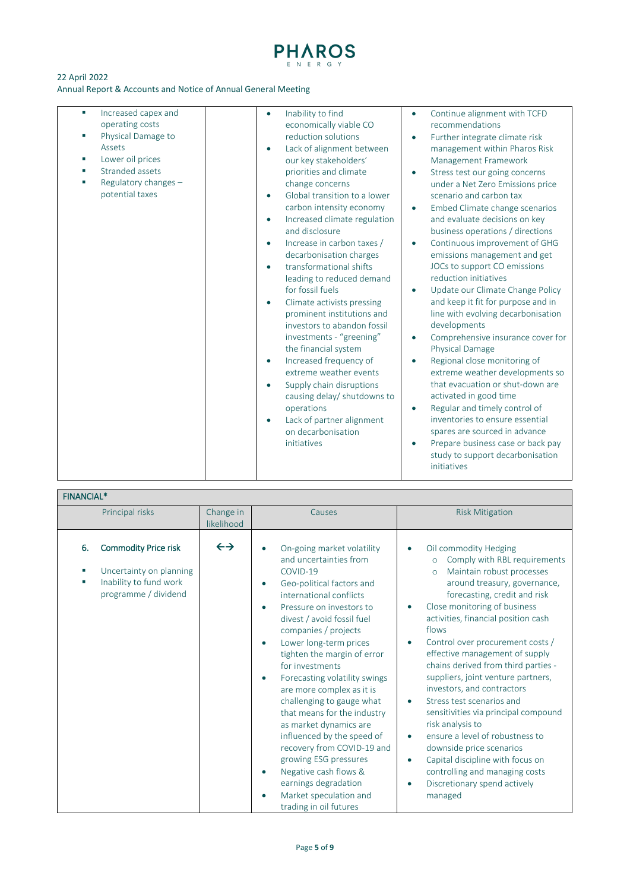

| Increased capex and<br>×.<br>operating costs<br>Physical Damage to<br>Е<br>Assets<br>Lower oil prices<br>×,<br>Stranded assets<br>Regulatory changes -<br>potential taxes | Inability to find<br>$\bullet$<br>economically viable CO<br>reduction solutions<br>Lack of alignment between<br>$\bullet$<br>our key stakeholders'<br>priorities and climate<br>change concerns<br>Global transition to a lower<br>$\bullet$<br>carbon intensity economy<br>Increased climate regulation<br>$\bullet$<br>and disclosure<br>Increase in carbon taxes /<br>$\bullet$<br>decarbonisation charges<br>transformational shifts<br>leading to reduced demand<br>for fossil fuels<br>Climate activists pressing<br>$\bullet$<br>prominent institutions and<br>investors to abandon fossil<br>investments - "greening"<br>the financial system<br>Increased frequency of<br>$\bullet$<br>extreme weather events<br>Supply chain disruptions<br>causing delay/ shutdowns to<br>operations<br>Lack of partner alignment<br>on decarbonisation<br>initiatives | Continue alignment with TCFD<br>$\bullet$<br>recommendations<br>Further integrate climate risk<br>$\bullet$<br>management within Pharos Risk<br>Management Framework<br>Stress test our going concerns<br>$\bullet$<br>under a Net Zero Emissions price<br>scenario and carbon tax<br>Embed Climate change scenarios<br>$\bullet$<br>and evaluate decisions on key<br>business operations / directions<br>Continuous improvement of GHG<br>$\bullet$<br>emissions management and get<br>JOCs to support CO emissions<br>reduction initiatives<br>Update our Climate Change Policy<br>$\bullet$<br>and keep it fit for purpose and in<br>line with evolving decarbonisation<br>developments<br>Comprehensive insurance cover for<br>$\bullet$<br>Physical Damage<br>Regional close monitoring of<br>$\bullet$<br>extreme weather developments so<br>that evacuation or shut-down are<br>activated in good time<br>Regular and timely control of<br>$\bullet$<br>inventories to ensure essential<br>spares are sourced in advance<br>Prepare business case or back pay<br>$\bullet$<br>study to support decarbonisation<br>initiatives |
|---------------------------------------------------------------------------------------------------------------------------------------------------------------------------|-------------------------------------------------------------------------------------------------------------------------------------------------------------------------------------------------------------------------------------------------------------------------------------------------------------------------------------------------------------------------------------------------------------------------------------------------------------------------------------------------------------------------------------------------------------------------------------------------------------------------------------------------------------------------------------------------------------------------------------------------------------------------------------------------------------------------------------------------------------------|--------------------------------------------------------------------------------------------------------------------------------------------------------------------------------------------------------------------------------------------------------------------------------------------------------------------------------------------------------------------------------------------------------------------------------------------------------------------------------------------------------------------------------------------------------------------------------------------------------------------------------------------------------------------------------------------------------------------------------------------------------------------------------------------------------------------------------------------------------------------------------------------------------------------------------------------------------------------------------------------------------------------------------------------------------------------------------------------------------------------------------------|

# FINANCIAL\*

|    | Principal risks                                                                                          | Change in<br>likelihood | Causes                                                                                                                                                                                                                                                                                                                                                                                                                                                                                                                                                                                                                                                         | <b>Risk Mitigation</b>                                                                                                                                                                                                                                                                                                                                                                                                                                                                                                                                                                                                                                                                                                                       |
|----|----------------------------------------------------------------------------------------------------------|-------------------------|----------------------------------------------------------------------------------------------------------------------------------------------------------------------------------------------------------------------------------------------------------------------------------------------------------------------------------------------------------------------------------------------------------------------------------------------------------------------------------------------------------------------------------------------------------------------------------------------------------------------------------------------------------------|----------------------------------------------------------------------------------------------------------------------------------------------------------------------------------------------------------------------------------------------------------------------------------------------------------------------------------------------------------------------------------------------------------------------------------------------------------------------------------------------------------------------------------------------------------------------------------------------------------------------------------------------------------------------------------------------------------------------------------------------|
| 6. | <b>Commodity Price risk</b><br>Uncertainty on planning<br>Inability to fund work<br>programme / dividend | $\leftrightarrow$       | On-going market volatility<br>and uncertainties from<br>COVID-19<br>Geo-political factors and<br>international conflicts<br>Pressure on investors to<br>divest / avoid fossil fuel<br>companies / projects<br>Lower long-term prices<br>tighten the margin of error<br>for investments<br>Forecasting volatility swings<br>$\bullet$<br>are more complex as it is<br>challenging to gauge what<br>that means for the industry<br>as market dynamics are<br>influenced by the speed of<br>recovery from COVID-19 and<br>growing ESG pressures<br>Negative cash flows &<br>$\bullet$<br>earnings degradation<br>Market speculation and<br>trading in oil futures | Oil commodity Hedging<br>Comply with RBL requirements<br>$\circ$<br>Maintain robust processes<br>$\circ$<br>around treasury, governance,<br>forecasting, credit and risk<br>Close monitoring of business<br>activities, financial position cash<br>flows<br>Control over procurement costs /<br>effective management of supply<br>chains derived from third parties -<br>suppliers, joint venture partners,<br>investors, and contractors<br>Stress test scenarios and<br>$\bullet$<br>sensitivities via principal compound<br>risk analysis to<br>ensure a level of robustness to<br>downside price scenarios<br>Capital discipline with focus on<br>controlling and managing costs<br>Discretionary spend actively<br>$\bullet$<br>managed |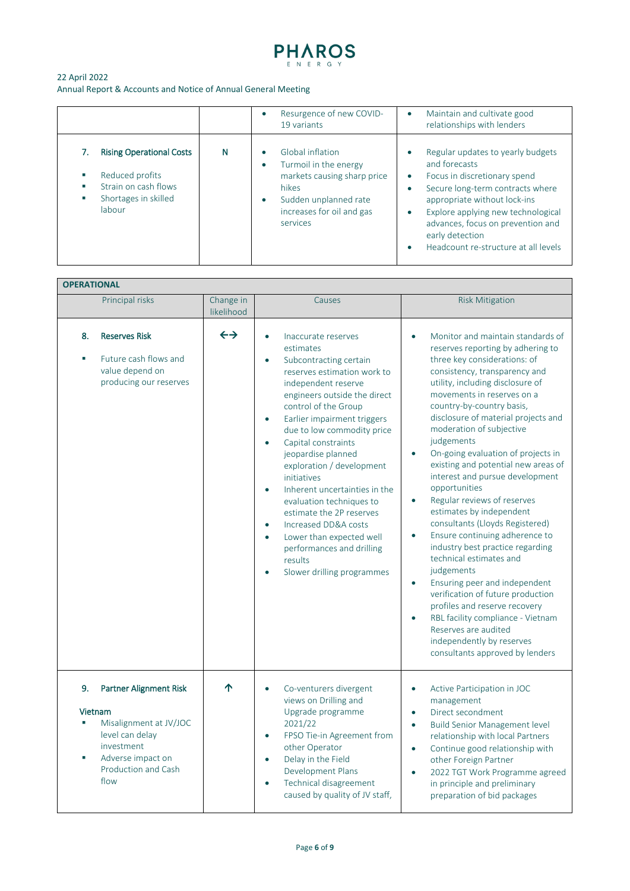

|                                                                                                              |   | Resurgence of new COVID-<br>19 variants                                                                                                                                       | Maintain and cultivate good<br>$\bullet$<br>relationships with lenders                                                                                                                                                                                                                                                                                        |
|--------------------------------------------------------------------------------------------------------------|---|-------------------------------------------------------------------------------------------------------------------------------------------------------------------------------|---------------------------------------------------------------------------------------------------------------------------------------------------------------------------------------------------------------------------------------------------------------------------------------------------------------------------------------------------------------|
| <b>Rising Operational Costs</b><br>Reduced profits<br>Strain on cash flows<br>Shortages in skilled<br>labour | N | Global inflation<br>Turmoil in the energy<br>$\bullet$<br>markets causing sharp price<br>hikes<br>Sudden unplanned rate<br>$\bullet$<br>increases for oil and gas<br>services | Regular updates to yearly budgets<br>$\bullet$<br>and forecasts<br>Focus in discretionary spend<br>$\bullet$<br>Secure long-term contracts where<br>$\bullet$<br>appropriate without lock-ins<br>Explore applying new technological<br>$\bullet$<br>advances, focus on prevention and<br>early detection<br>Headcount re-structure at all levels<br>$\bullet$ |

# **OPERATIONAL**

|          | Principal risks                                                                                                                                  | Change in<br>likelihood | Causes                                                                                                                                                                                                                                                                                                                                                                                                                                                                                                                                                                                                                                            | <b>Risk Mitigation</b>                                                                                                                                                                                                                                                                                                                                                                                                                                                                                                                                                                                                                                                                                                                                                                                                                                                                                                                                                                  |
|----------|--------------------------------------------------------------------------------------------------------------------------------------------------|-------------------------|---------------------------------------------------------------------------------------------------------------------------------------------------------------------------------------------------------------------------------------------------------------------------------------------------------------------------------------------------------------------------------------------------------------------------------------------------------------------------------------------------------------------------------------------------------------------------------------------------------------------------------------------------|-----------------------------------------------------------------------------------------------------------------------------------------------------------------------------------------------------------------------------------------------------------------------------------------------------------------------------------------------------------------------------------------------------------------------------------------------------------------------------------------------------------------------------------------------------------------------------------------------------------------------------------------------------------------------------------------------------------------------------------------------------------------------------------------------------------------------------------------------------------------------------------------------------------------------------------------------------------------------------------------|
| 8.       | <b>Reserves Risk</b><br>Future cash flows and<br>value depend on<br>producing our reserves                                                       | $\leftrightarrow$       | Inaccurate reserves<br>$\bullet$<br>estimates<br>Subcontracting certain<br>$\bullet$<br>reserves estimation work to<br>independent reserve<br>engineers outside the direct<br>control of the Group<br>Earlier impairment triggers<br>$\bullet$<br>due to low commodity price<br>Capital constraints<br>$\bullet$<br>jeopardise planned<br>exploration / development<br>initiatives<br>Inherent uncertainties in the<br>$\bullet$<br>evaluation techniques to<br>estimate the 2P reserves<br>Increased DD&A costs<br>$\bullet$<br>Lower than expected well<br>$\bullet$<br>performances and drilling<br>results<br>Slower drilling programmes<br>ó | Monitor and maintain standards of<br>$\bullet$<br>reserves reporting by adhering to<br>three key considerations: of<br>consistency, transparency and<br>utility, including disclosure of<br>movements in reserves on a<br>country-by-country basis,<br>disclosure of material projects and<br>moderation of subjective<br>judgements<br>On-going evaluation of projects in<br>$\bullet$<br>existing and potential new areas of<br>interest and pursue development<br>opportunities<br>Regular reviews of reserves<br>$\bullet$<br>estimates by independent<br>consultants (Lloyds Registered)<br>Ensure continuing adherence to<br>$\bullet$<br>industry best practice regarding<br>technical estimates and<br>judgements<br>Ensuring peer and independent<br>$\bullet$<br>verification of future production<br>profiles and reserve recovery<br>RBL facility compliance - Vietnam<br>$\bullet$<br>Reserves are audited<br>independently by reserves<br>consultants approved by lenders |
| 9.<br>Ť. | Partner Alignment Risk<br>Vietnam<br>Misalignment at JV/JOC<br>level can delay<br>investment<br>Adverse impact on<br>Production and Cash<br>flow | 个                       | Co-venturers divergent<br>$\bullet$<br>views on Drilling and<br>Upgrade programme<br>2021/22<br>FPSO Tie-in Agreement from<br>$\bullet$<br>other Operator<br>Delay in the Field<br>$\bullet$<br>Development Plans<br>Technical disagreement<br>$\bullet$<br>caused by quality of JV staff,                                                                                                                                                                                                                                                                                                                                                        | Active Participation in JOC<br>management<br>Direct secondment<br>$\bullet$<br><b>Build Senior Management level</b><br>$\bullet$<br>relationship with local Partners<br>Continue good relationship with<br>$\bullet$<br>other Foreign Partner<br>2022 TGT Work Programme agreed<br>$\bullet$<br>in principle and preliminary<br>preparation of bid packages                                                                                                                                                                                                                                                                                                                                                                                                                                                                                                                                                                                                                             |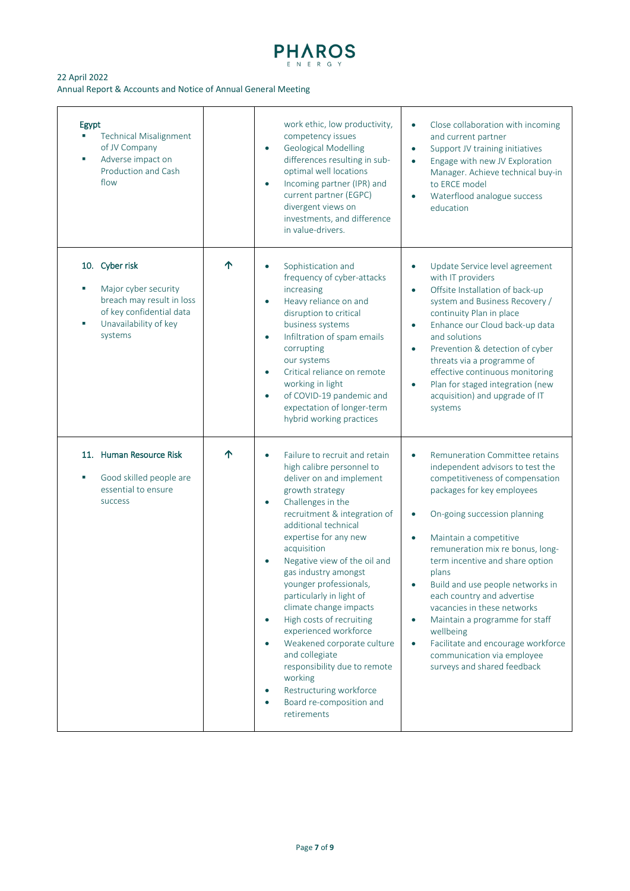

| Egypt<br><b>Technical Misalignment</b><br>of JV Company<br>Adverse impact on<br>Production and Cash<br>flow                         |   | work ethic, low productivity,<br>competency issues<br><b>Geological Modelling</b><br>$\bullet$<br>differences resulting in sub-<br>optimal well locations<br>Incoming partner (IPR) and<br>$\bullet$<br>current partner (EGPC)<br>divergent views on<br>investments, and difference<br>in value-drivers.                                                                                                                                                                                                                                                                                                                                                                   | Close collaboration with incoming<br>$\bullet$<br>and current partner<br>Support JV training initiatives<br>$\bullet$<br>Engage with new JV Exploration<br>$\bullet$<br>Manager. Achieve technical buy-in<br>to ERCE model<br>Waterflood analogue success<br>education                                                                                                                                                                                                                                                                                                               |
|-------------------------------------------------------------------------------------------------------------------------------------|---|----------------------------------------------------------------------------------------------------------------------------------------------------------------------------------------------------------------------------------------------------------------------------------------------------------------------------------------------------------------------------------------------------------------------------------------------------------------------------------------------------------------------------------------------------------------------------------------------------------------------------------------------------------------------------|--------------------------------------------------------------------------------------------------------------------------------------------------------------------------------------------------------------------------------------------------------------------------------------------------------------------------------------------------------------------------------------------------------------------------------------------------------------------------------------------------------------------------------------------------------------------------------------|
| 10. Cyber risk<br>Major cyber security<br>breach may result in loss<br>of key confidential data<br>Unavailability of key<br>systems | ↑ | Sophistication and<br>$\bullet$<br>frequency of cyber-attacks<br>increasing<br>Heavy reliance on and<br>$\bullet$<br>disruption to critical<br>business systems<br>Infiltration of spam emails<br>$\bullet$<br>corrupting<br>our systems<br>Critical reliance on remote<br>$\bullet$<br>working in light<br>of COVID-19 pandemic and<br>$\bullet$<br>expectation of longer-term<br>hybrid working practices                                                                                                                                                                                                                                                                | Update Service level agreement<br>with IT providers<br>Offsite Installation of back-up<br>$\bullet$<br>system and Business Recovery /<br>continuity Plan in place<br>Enhance our Cloud back-up data<br>$\bullet$<br>and solutions<br>Prevention & detection of cyber<br>$\bullet$<br>threats via a programme of<br>effective continuous monitoring<br>Plan for staged integration (new<br>$\bullet$<br>acquisition) and upgrade of IT<br>systems                                                                                                                                     |
| 11. Human Resource Risk<br>Good skilled people are<br>essential to ensure<br>success                                                | ↑ | Failure to recruit and retain<br>$\bullet$<br>high calibre personnel to<br>deliver on and implement<br>growth strategy<br>Challenges in the<br>$\bullet$<br>recruitment & integration of<br>additional technical<br>expertise for any new<br>acquisition<br>Negative view of the oil and<br>$\bullet$<br>gas industry amongst<br>younger professionals,<br>particularly in light of<br>climate change impacts<br>High costs of recruiting<br>$\bullet$<br>experienced workforce<br>Weakened corporate culture<br>$\bullet$<br>and collegiate<br>responsibility due to remote<br>working<br>Restructuring workforce<br>$\bullet$<br>Board re-composition and<br>retirements | Remuneration Committee retains<br>$\bullet$<br>independent advisors to test the<br>competitiveness of compensation<br>packages for key employees<br>On-going succession planning<br>Maintain a competitive<br>$\bullet$<br>remuneration mix re bonus, long-<br>term incentive and share option<br>plans<br>Build and use people networks in<br>each country and advertise<br>vacancies in these networks<br>Maintain a programme for staff<br>$\bullet$<br>wellbeing<br>Facilitate and encourage workforce<br>$\bullet$<br>communication via employee<br>surveys and shared feedback |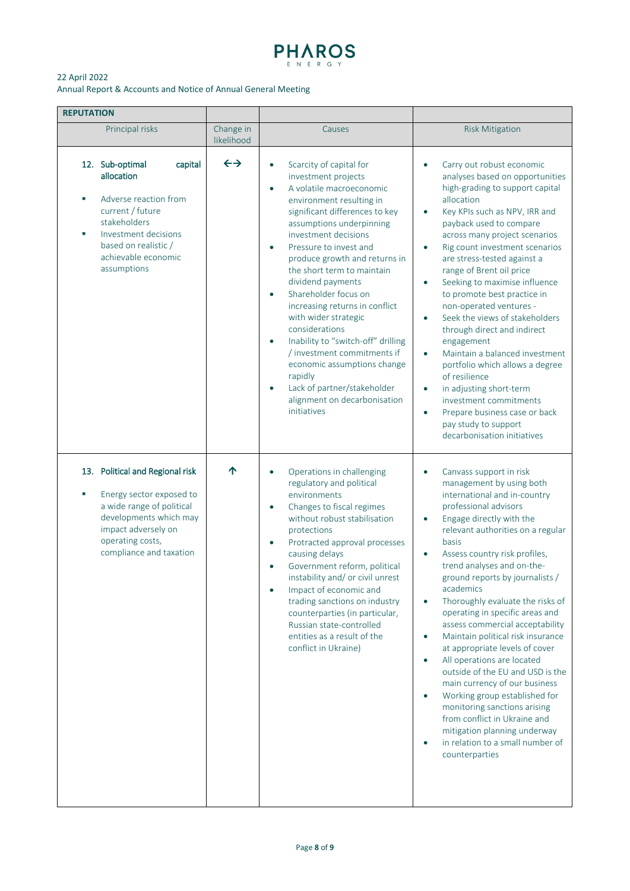

| <b>REPUTATION</b>                                                                                                                                                                                     |                         |                                                                                                                                                                                                                                                                                                                                                                                                                                                                                                                                                                                                                                                                                           |                                                                                                                                                                                                                                                                                                                                                                                                                                                                                                                                                                                                                                                                                                                                                                                                                                                   |
|-------------------------------------------------------------------------------------------------------------------------------------------------------------------------------------------------------|-------------------------|-------------------------------------------------------------------------------------------------------------------------------------------------------------------------------------------------------------------------------------------------------------------------------------------------------------------------------------------------------------------------------------------------------------------------------------------------------------------------------------------------------------------------------------------------------------------------------------------------------------------------------------------------------------------------------------------|---------------------------------------------------------------------------------------------------------------------------------------------------------------------------------------------------------------------------------------------------------------------------------------------------------------------------------------------------------------------------------------------------------------------------------------------------------------------------------------------------------------------------------------------------------------------------------------------------------------------------------------------------------------------------------------------------------------------------------------------------------------------------------------------------------------------------------------------------|
| Principal risks                                                                                                                                                                                       | Change in<br>likelihood | Causes                                                                                                                                                                                                                                                                                                                                                                                                                                                                                                                                                                                                                                                                                    | <b>Risk Mitigation</b>                                                                                                                                                                                                                                                                                                                                                                                                                                                                                                                                                                                                                                                                                                                                                                                                                            |
| 12. Sub-optimal<br>capital<br>allocation<br>Adverse reaction from<br>×<br>current / future<br>stakeholders<br>Investment decisions<br>×<br>based on realistic /<br>achievable economic<br>assumptions | $\leftrightarrow$       | Scarcity of capital for<br>$\bullet$<br>investment projects<br>A volatile macroeconomic<br>$\bullet$<br>environment resulting in<br>significant differences to key<br>assumptions underpinning<br>investment decisions<br>Pressure to invest and<br>$\bullet$<br>produce growth and returns in<br>the short term to maintain<br>dividend payments<br>Shareholder focus on<br>$\bullet$<br>increasing returns in conflict<br>with wider strategic<br>considerations<br>Inability to "switch-off" drilling<br>$\bullet$<br>/ investment commitments if<br>economic assumptions change<br>rapidly<br>Lack of partner/stakeholder<br>$\bullet$<br>alignment on decarbonisation<br>initiatives | Carry out robust economic<br>analyses based on opportunities<br>high-grading to support capital<br>allocation<br>Key KPIs such as NPV, IRR and<br>$\bullet$<br>payback used to compare<br>across many project scenarios<br>Rig count investment scenarios<br>are stress-tested against a<br>range of Brent oil price<br>Seeking to maximise influence<br>$\bullet$<br>to promote best practice in<br>non-operated ventures -<br>Seek the views of stakeholders<br>$\bullet$<br>through direct and indirect<br>engagement<br>Maintain a balanced investment<br>$\bullet$<br>portfolio which allows a degree<br>of resilience<br>in adjusting short-term<br>$\bullet$<br>investment commitments<br>Prepare business case or back<br>$\bullet$<br>pay study to support<br>decarbonisation initiatives                                                |
| 13. Political and Regional risk<br>Energy sector exposed to<br>٠<br>a wide range of political<br>developments which may<br>impact adversely on<br>operating costs,<br>compliance and taxation         | ↑                       | Operations in challenging<br>$\bullet$<br>regulatory and political<br>environments<br>Changes to fiscal regimes<br>$\bullet$<br>without robust stabilisation<br>protections<br>Protracted approval processes<br>$\bullet$<br>causing delays<br>Government reform, political<br>$\bullet$<br>instability and/ or civil unrest<br>Impact of economic and<br>trading sanctions on industry<br>counterparties (in particular,<br>Russian state-controlled<br>entities as a result of the<br>conflict in Ukraine)                                                                                                                                                                              | Canvass support in risk<br>$\bullet$<br>management by using both<br>international and in-country<br>professional advisors<br>Engage directly with the<br>$\bullet$<br>relevant authorities on a regular<br>basis<br>Assess country risk profiles,<br>$\bullet$<br>trend analyses and on-the-<br>ground reports by journalists /<br>academics<br>Thoroughly evaluate the risks of<br>$\bullet$<br>operating in specific areas and<br>assess commercial acceptability<br>Maintain political risk insurance<br>at appropriate levels of cover<br>All operations are located<br>outside of the EU and USD is the<br>main currency of our business<br>Working group established for<br>$\bullet$<br>monitoring sanctions arising<br>from conflict in Ukraine and<br>mitigation planning underway<br>in relation to a small number of<br>counterparties |